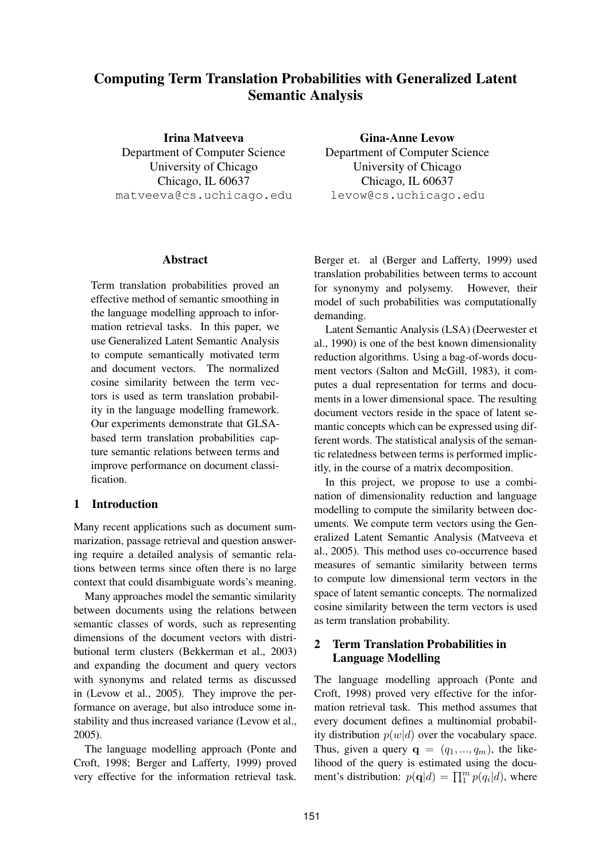# **Computing Term Translation Probabilities with Generalized Latent Semantic Analysis**

**Irina Matveeva** Department of Computer Science University of Chicago Chicago, IL 60637 matveeva@cs.uchicago.edu

**Gina-Anne Levow** Department of Computer Science

University of Chicago Chicago, IL 60637 levow@cs.uchicago.edu

## **Abstract**

Term translation probabilities proved an effective method of semantic smoothing in the language modelling approach to information retrieval tasks. In this paper, we use Generalized Latent Semantic Analysis to compute semantically motivated term and document vectors. The normalized cosine similarity between the term vectors is used as term translation probability in the language modelling framework. Our experiments demonstrate that GLSAbased term translation probabilities capture semantic relations between terms and improve performance on document classification.

## **1 Introduction**

Many recent applications such as document summarization, passage retrieval and question answering require a detailed analysis of semantic relations between terms since often there is no large context that could disambiguate words's meaning.

Many approaches model the semantic similarity between documents using the relations between semantic classes of words, such as representing dimensions of the document vectors with distributional term clusters (Bekkerman et al., 2003) and expanding the document and query vectors with synonyms and related terms as discussed in (Levow et al., 2005). They improve the performance on average, but also introduce some instability and thus increased variance (Levow et al., 2005).

The language modelling approach (Ponte and Croft, 1998; Berger and Lafferty, 1999) proved very effective for the information retrieval task.

Berger et. al (Berger and Lafferty, 1999) used translation probabilities between terms to account for synonymy and polysemy. However, their model of such probabilities was computationally demanding.

Latent Semantic Analysis (LSA) (Deerwester et al., 1990) is one of the best known dimensionality reduction algorithms. Using a bag-of-words document vectors (Salton and McGill, 1983), it computes a dual representation for terms and documents in a lower dimensional space. The resulting document vectors reside in the space of latent semantic concepts which can be expressed using different words. The statistical analysis of the semantic relatedness between terms is performed implicitly, in the course of a matrix decomposition.

In this project, we propose to use a combination of dimensionality reduction and language modelling to compute the similarity between documents. We compute term vectors using the Generalized Latent Semantic Analysis (Matveeva et al., 2005). This method uses co-occurrence based measures of semantic similarity between terms to compute low dimensional term vectors in the space of latent semantic concepts. The normalized cosine similarity between the term vectors is used as term translation probability.

## **2 Term Translation Probabilities in Language Modelling**

The language modelling approach (Ponte and Croft, 1998) proved very effective for the information retrieval task. This method assumes that every document defines a multinomial probability distribution  $p(w|d)$  over the vocabulary space. Thus, given a query  $\mathbf{q} = (q_1, ..., q_m)$ , the likelihood of the query is estimated using the document's distribution:  $p(\mathbf{q}|d) = \prod_{i=1}^{m} p(q_i|d)$ , where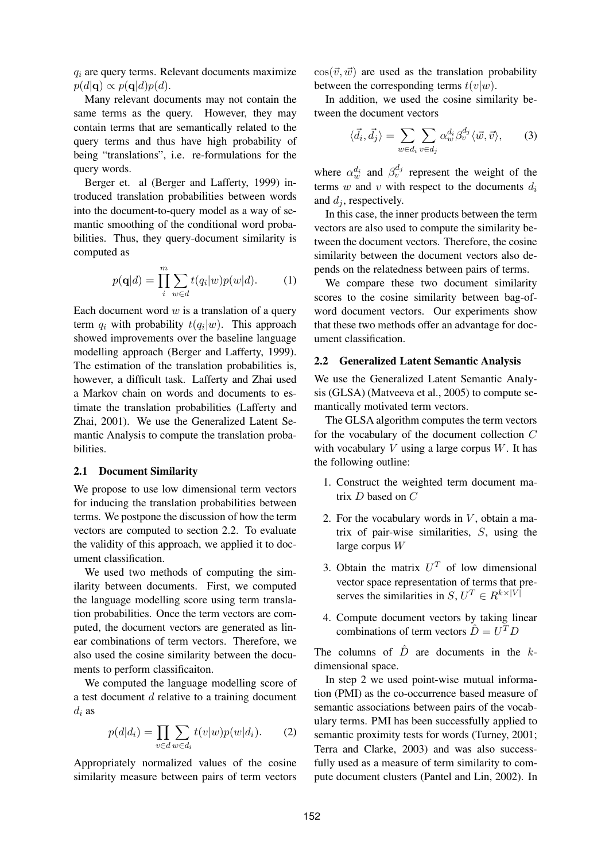$q_i$  are query terms. Relevant documents maximize  $p(d|\mathbf{q}) \propto p(\mathbf{q}|d)p(d).$ 

Many relevant documents may not contain the same terms as the query. However, they may contain terms that are semantically related to the query terms and thus have high probability of being "translations", i.e. re-formulations for the query words.

Berger et. al (Berger and Lafferty, 1999) introduced translation probabilities between words into the document-to-query model as a way of semantic smoothing of the conditional word probabilities. Thus, they query-document similarity is computed as

$$
p(\mathbf{q}|d) = \prod_{i}^{m} \sum_{w \in d} t(q_i|w)p(w|d). \tag{1}
$$

Each document word  $w$  is a translation of a query term  $q_i$  with probability  $t(q_i|w)$ . This approach showed improvements over the baseline language modelling approach (Berger and Lafferty, 1999). The estimation of the translation probabilities is, however, a difficult task. Lafferty and Zhai used a Markov chain on words and documents to estimate the translation probabilities (Lafferty and Zhai, 2001). We use the Generalized Latent Semantic Analysis to compute the translation probabilities.

#### **2.1 Document Similarity**

We propose to use low dimensional term vectors for inducing the translation probabilities between terms. We postpone the discussion of how the term vectors are computed to section 2.2. To evaluate the validity of this approach, we applied it to document classification.

We used two methods of computing the similarity between documents. First, we computed the language modelling score using term translation probabilities. Once the term vectors are computed, the document vectors are generated as linear combinations of term vectors. Therefore, we also used the cosine similarity between the documents to perform classificaiton.

We computed the language modelling score of a test document d relative to a training document  $d_i$  as

$$
p(d|d_i) = \prod_{v \in d} \sum_{w \in d_i} t(v|w)p(w|d_i). \tag{2}
$$

Appropriately normalized values of the cosine similarity measure between pairs of term vectors  $\cos(\vec{v}, \vec{w})$  are used as the translation probability between the corresponding terms  $t(v|w)$ .

In addition, we used the cosine similarity between the document vectors

$$
\langle \vec{d}_i, \vec{d}_j \rangle = \sum_{w \in d_i} \sum_{v \in d_j} \alpha_w^{d_i} \beta_v^{d_j} \langle \vec{w}, \vec{v} \rangle, \qquad (3)
$$

where  $\alpha_w^{d_i}$  and  $\beta_v^{d_j}$  represent the weight of the terms  $w$  and  $v$  with respect to the documents  $d_i$ and  $d_i$ , respectively.

In this case, the inner products between the term vectors are also used to compute the similarity between the document vectors. Therefore, the cosine similarity between the document vectors also depends on the relatedness between pairs of terms.

We compare these two document similarity scores to the cosine similarity between bag-ofword document vectors. Our experiments show that these two methods offer an advantage for document classification.

#### **2.2 Generalized Latent Semantic Analysis**

We use the Generalized Latent Semantic Analysis (GLSA) (Matveeva et al., 2005) to compute semantically motivated term vectors.

The GLSA algorithm computes the term vectors for the vocabulary of the document collection C with vocabulary  $V$  using a large corpus  $W$ . It has the following outline:

- 1. Construct the weighted term document matrix D based on C
- 2. For the vocabulary words in  $V$ , obtain a matrix of pair-wise similarities, S, using the large corpus W
- 3. Obtain the matrix  $U^T$  of low dimensional vector space representation of terms that preserves the similarities in  $S, U^T \in R^{k \times |V|}$
- 4. Compute document vectors by taking linear combinations of term vectors  $\hat{D} = U^T D$

The columns of  $\hat{D}$  are documents in the kdimensional space.

In step 2 we used point-wise mutual information (PMI) as the co-occurrence based measure of semantic associations between pairs of the vocabulary terms. PMI has been successfully applied to semantic proximity tests for words (Turney, 2001; Terra and Clarke, 2003) and was also successfully used as a measure of term similarity to compute document clusters (Pantel and Lin, 2002). In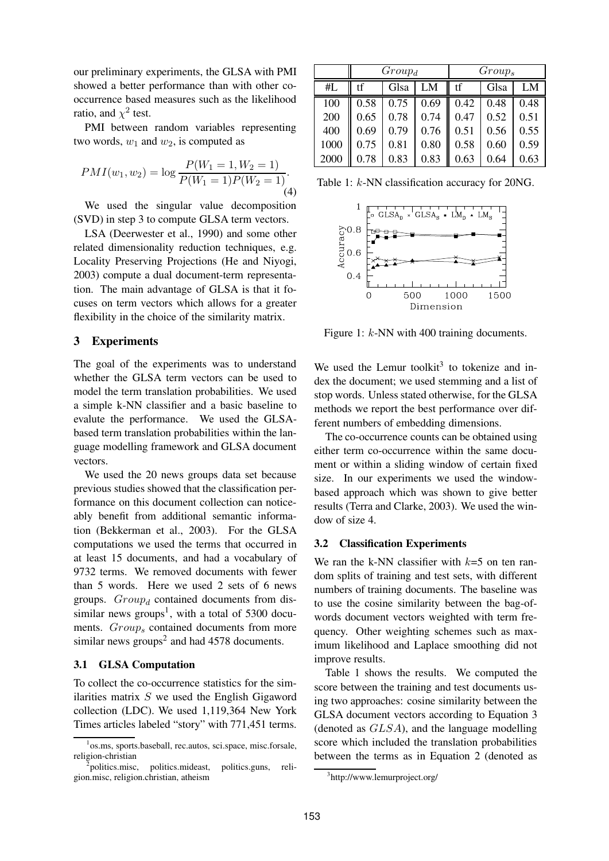our preliminary experiments, the GLSA with PMI showed a better performance than with other cooccurrence based measures such as the likelihood ratio, and  $\chi^2$  test.

PMI between random variables representing two words,  $w_1$  and  $w_2$ , is computed as

$$
PMI(w_1, w_2) = \log \frac{P(W_1 = 1, W_2 = 1)}{P(W_1 = 1)P(W_2 = 1)}.
$$
\n(4)

We used the singular value decomposition (SVD) in step 3 to compute GLSA term vectors.

LSA (Deerwester et al., 1990) and some other related dimensionality reduction techniques, e.g. Locality Preserving Projections (He and Niyogi, 2003) compute a dual document-term representation. The main advantage of GLSA is that it focuses on term vectors which allows for a greater flexibility in the choice of the similarity matrix.

#### **3 Experiments**

The goal of the experiments was to understand whether the GLSA term vectors can be used to model the term translation probabilities. We used a simple k-NN classifier and a basic baseline to evalute the performance. We used the GLSAbased term translation probabilities within the language modelling framework and GLSA document vectors.

We used the 20 news groups data set because previous studies showed that the classification performance on this document collection can noticeably benefit from additional semantic information (Bekkerman et al., 2003). For the GLSA computations we used the terms that occurred in at least 15 documents, and had a vocabulary of 9732 terms. We removed documents with fewer than 5 words. Here we used 2 sets of 6 news groups.  $Group_d$  contained documents from dissimilar news groups<sup>1</sup>, with a total of 5300 documents. Group<sub>s</sub> contained documents from more similar news groups<sup>2</sup> and had  $4578$  documents.

#### **3.1 GLSA Computation**

To collect the co-occurrence statistics for the similarities matrix  $S$  we used the English Gigaword collection (LDC). We used 1,119,364 New York Times articles labeled "story" with 771,451 terms.

|      | $Group_d$ |      |      | $Group_s$ |      |      |
|------|-----------|------|------|-----------|------|------|
| #L   | tf        | Glsa | LM   | tf        | Glsa | LM   |
| 100  | 0.58      | 0.75 | 0.69 | 0.42      | 0.48 | 0.48 |
| 200  | 0.65      | 0.78 | 0.74 | 0.47      | 0.52 | 0.51 |
| 400  | 0.69      | 0.79 | 0.76 | 0.51      | 0.56 | 0.55 |
| 1000 | 0.75      | 0.81 | 0.80 | 0.58      | 0.60 | 0.59 |
| 2000 | 0.78      | 0.83 | 0.83 | 0.63      | 0.64 | 0.63 |

Table 1: k-NN classification accuracy for 20NG.



Figure 1:  $k$ -NN with 400 training documents.

We used the Lemur toolkit<sup>3</sup> to tokenize and index the document; we used stemming and a list of stop words. Unless stated otherwise, for the GLSA methods we report the best performance over different numbers of embedding dimensions.

The co-occurrence counts can be obtained using either term co-occurrence within the same document or within a sliding window of certain fixed size. In our experiments we used the windowbased approach which was shown to give better results (Terra and Clarke, 2003). We used the window of size 4.

#### **3.2 Classification Experiments**

We ran the k-NN classifier with  $k=5$  on ten random splits of training and test sets, with different numbers of training documents. The baseline was to use the cosine similarity between the bag-ofwords document vectors weighted with term frequency. Other weighting schemes such as maximum likelihood and Laplace smoothing did not improve results.

Table 1 shows the results. We computed the score between the training and test documents using two approaches: cosine similarity between the GLSA document vectors according to Equation 3 (denoted as GLSA), and the language modelling score which included the translation probabilities between the terms as in Equation 2 (denoted as

<sup>1</sup> os.ms, sports.baseball, rec.autos, sci.space, misc.forsale, religion-christian

politics.misc. politics.mideast, politics.guns, religion.misc, religion.christian, atheism

<sup>3</sup> http://www.lemurproject.org/